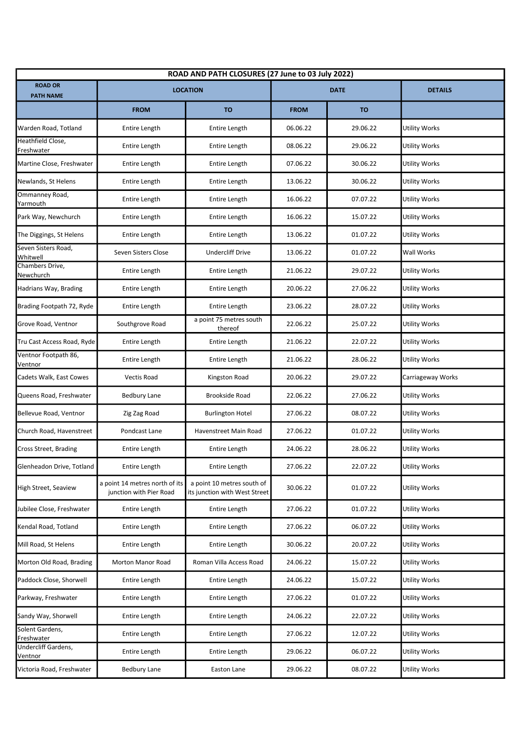| ROAD AND PATH CLOSURES (27 June to 03 July 2022) |                                                           |                                                             |             |           |                      |  |  |
|--------------------------------------------------|-----------------------------------------------------------|-------------------------------------------------------------|-------------|-----------|----------------------|--|--|
| <b>ROAD OR</b><br><b>PATH NAME</b>               | <b>LOCATION</b>                                           |                                                             | <b>DATE</b> |           | <b>DETAILS</b>       |  |  |
|                                                  | <b>FROM</b>                                               | <b>TO</b>                                                   | <b>FROM</b> | <b>TO</b> |                      |  |  |
| Warden Road, Totland                             | Entire Length                                             | Entire Length                                               | 06.06.22    | 29.06.22  | <b>Utility Works</b> |  |  |
| Heathfield Close,<br>Freshwater                  | Entire Length                                             | Entire Length                                               | 08.06.22    | 29.06.22  | Utility Works        |  |  |
| Martine Close, Freshwater                        | Entire Length                                             | Entire Length                                               | 07.06.22    | 30.06.22  | <b>Utility Works</b> |  |  |
| Newlands, St Helens                              | Entire Length                                             | Entire Length                                               | 13.06.22    | 30.06.22  | Utility Works        |  |  |
| Ommanney Road,<br>Yarmouth                       | Entire Length                                             | Entire Length                                               | 16.06.22    | 07.07.22  | <b>Utility Works</b> |  |  |
| Park Way, Newchurch                              | Entire Length                                             | Entire Length                                               | 16.06.22    | 15.07.22  | Utility Works        |  |  |
| The Diggings, St Helens                          | Entire Length                                             | Entire Length                                               | 13.06.22    | 01.07.22  | <b>Utility Works</b> |  |  |
| Seven Sisters Road,<br>Whitwell                  | Seven Sisters Close                                       | <b>Undercliff Drive</b>                                     | 13.06.22    | 01.07.22  | Wall Works           |  |  |
| Chambers Drive,<br>Newchurch                     | Entire Length                                             | Entire Length                                               | 21.06.22    | 29.07.22  | <b>Utility Works</b> |  |  |
| Hadrians Way, Brading                            | Entire Length                                             | Entire Length                                               | 20.06.22    | 27.06.22  | Utility Works        |  |  |
| Brading Footpath 72, Ryde                        | Entire Length                                             | Entire Length                                               | 23.06.22    | 28.07.22  | <b>Utility Works</b> |  |  |
| Grove Road, Ventnor                              | Southgrove Road                                           | a point 75 metres south<br>thereof                          | 22.06.22    | 25.07.22  | Utility Works        |  |  |
| Tru Cast Access Road, Ryde                       | Entire Length                                             | Entire Length                                               | 21.06.22    | 22.07.22  | Utility Works        |  |  |
| Ventnor Footpath 86,<br>Ventnor                  | Entire Length                                             | Entire Length                                               | 21.06.22    | 28.06.22  | Utility Works        |  |  |
| Cadets Walk, East Cowes                          | Vectis Road                                               | Kingston Road                                               | 20.06.22    | 29.07.22  | Carriageway Works    |  |  |
| Queens Road, Freshwater                          | <b>Bedbury Lane</b>                                       | <b>Brookside Road</b>                                       | 22.06.22    | 27.06.22  | <b>Utility Works</b> |  |  |
| Bellevue Road, Ventnor                           | Zig Zag Road                                              | <b>Burlington Hotel</b>                                     | 27.06.22    | 08.07.22  | Utility Works        |  |  |
| Church Road, Havenstreet                         | Pondcast Lane                                             | Havenstreet Main Road                                       | 27.06.22    | 01.07.22  | Utility Works        |  |  |
| Cross Street, Brading                            | Entire Length                                             | <b>Entire Length</b>                                        | 24.06.22    | 28.06.22  | <b>Utility Works</b> |  |  |
| Glenheadon Drive, Totland                        | Entire Length                                             | Entire Length                                               | 27.06.22    | 22.07.22  | <b>Utility Works</b> |  |  |
| High Street, Seaview                             | a point 14 metres north of its<br>junction with Pier Road | a point 10 metres south of<br>its junction with West Street | 30.06.22    | 01.07.22  | Utility Works        |  |  |
| Jubilee Close, Freshwater                        | Entire Length                                             | Entire Length                                               | 27.06.22    | 01.07.22  | Utility Works        |  |  |
| Kendal Road, Totland                             | Entire Length                                             | Entire Length                                               | 27.06.22    | 06.07.22  | Utility Works        |  |  |
| Mill Road, St Helens                             | Entire Length                                             | Entire Length                                               | 30.06.22    | 20.07.22  | <b>Utility Works</b> |  |  |
| Morton Old Road, Brading                         | Morton Manor Road                                         | Roman Villa Access Road                                     | 24.06.22    | 15.07.22  | Utility Works        |  |  |
| Paddock Close, Shorwell                          | Entire Length                                             | Entire Length                                               | 24.06.22    | 15.07.22  | <b>Utility Works</b> |  |  |
| Parkway, Freshwater                              | Entire Length                                             | Entire Length                                               | 27.06.22    | 01.07.22  | Utility Works        |  |  |
| Sandy Way, Shorwell                              | Entire Length                                             | Entire Length                                               | 24.06.22    | 22.07.22  | <b>Utility Works</b> |  |  |
| Solent Gardens,<br>Freshwater                    | Entire Length                                             | Entire Length                                               | 27.06.22    | 12.07.22  | Utility Works        |  |  |
| Undercliff Gardens,<br>Ventnor                   | Entire Length                                             | Entire Length                                               | 29.06.22    | 06.07.22  | <b>Utility Works</b> |  |  |
| Victoria Road, Freshwater                        | Bedbury Lane                                              | Easton Lane                                                 | 29.06.22    | 08.07.22  | <b>Utility Works</b> |  |  |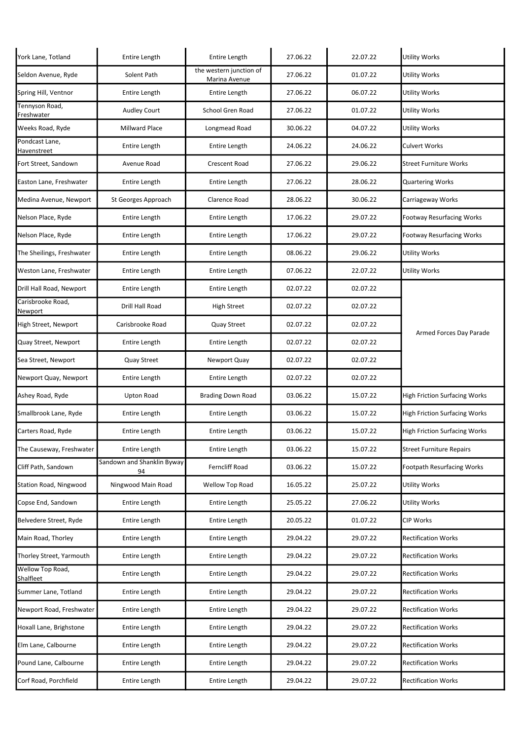| York Lane, Totland            | Entire Length                    | Entire Length                            | 27.06.22 | 22.07.22 | <b>Utility Works</b>                 |
|-------------------------------|----------------------------------|------------------------------------------|----------|----------|--------------------------------------|
| Seldon Avenue, Ryde           | Solent Path                      | the western junction of<br>Marina Avenue | 27.06.22 | 01.07.22 | Utility Works                        |
| Spring Hill, Ventnor          | Entire Length                    | Entire Length                            | 27.06.22 | 06.07.22 | Utility Works                        |
| Tennyson Road,<br>Freshwater  | <b>Audley Court</b>              | School Gren Road                         | 27.06.22 | 01.07.22 | <b>Utility Works</b>                 |
| Weeks Road, Ryde              | Millward Place                   | Longmead Road                            | 30.06.22 | 04.07.22 | Utility Works                        |
| Pondcast Lane,<br>Havenstreet | Entire Length                    | Entire Length                            | 24.06.22 | 24.06.22 | <b>Culvert Works</b>                 |
| Fort Street, Sandown          | Avenue Road                      | <b>Crescent Road</b>                     | 27.06.22 | 29.06.22 | <b>Street Furniture Works</b>        |
| Easton Lane, Freshwater       | Entire Length                    | Entire Length                            | 27.06.22 | 28.06.22 | <b>Quartering Works</b>              |
| Medina Avenue, Newport        | St Georges Approach              | Clarence Road                            | 28.06.22 | 30.06.22 | Carriageway Works                    |
| Nelson Place, Ryde            | Entire Length                    | Entire Length                            | 17.06.22 | 29.07.22 | <b>Footway Resurfacing Works</b>     |
| Nelson Place, Ryde            | Entire Length                    | Entire Length                            | 17.06.22 | 29.07.22 | <b>Footway Resurfacing Works</b>     |
| The Sheilings, Freshwater     | Entire Length                    | Entire Length                            | 08.06.22 | 29.06.22 | <b>Utility Works</b>                 |
| Weston Lane, Freshwater       | Entire Length                    | Entire Length                            | 07.06.22 | 22.07.22 | Utility Works                        |
| Drill Hall Road, Newport      | Entire Length                    | Entire Length                            | 02.07.22 | 02.07.22 | Armed Forces Day Parade              |
| Carisbrooke Road,<br>Newport  | Drill Hall Road                  | <b>High Street</b>                       | 02.07.22 | 02.07.22 |                                      |
| High Street, Newport          | Carisbrooke Road                 | Quay Street                              | 02.07.22 | 02.07.22 |                                      |
| Quay Street, Newport          | Entire Length                    | Entire Length                            | 02.07.22 | 02.07.22 |                                      |
| Sea Street, Newport           | Quay Street                      | Newport Quay                             | 02.07.22 | 02.07.22 |                                      |
| Newport Quay, Newport         | Entire Length                    | Entire Length                            | 02.07.22 | 02.07.22 |                                      |
| Ashey Road, Ryde              | Upton Road                       | <b>Brading Down Road</b>                 | 03.06.22 | 15.07.22 | <b>High Friction Surfacing Works</b> |
| Smallbrook Lane, Ryde         | Entire Length                    | Entire Length                            | 03.06.22 | 15.07.22 | <b>High Friction Surfacing Works</b> |
| Carters Road, Ryde            | Entire Length                    | Entire Length                            | 03.06.22 | 15.07.22 | <b>High Friction Surfacing Works</b> |
| The Causeway, Freshwater      | Entire Length                    | Entire Length                            | 03.06.22 | 15.07.22 | <b>Street Furniture Repairs</b>      |
| Cliff Path, Sandown           | Sandown and Shanklin Byway<br>94 | Ferncliff Road                           | 03.06.22 | 15.07.22 | <b>Footpath Resurfacing Works</b>    |
| Station Road, Ningwood        | Ningwood Main Road               | Wellow Top Road                          | 16.05.22 | 25.07.22 | <b>Utility Works</b>                 |
| Copse End, Sandown            | Entire Length                    | Entire Length                            | 25.05.22 | 27.06.22 | Utility Works                        |
| Belvedere Street, Ryde        | Entire Length                    | Entire Length                            | 20.05.22 | 01.07.22 | <b>CIP Works</b>                     |
| Main Road, Thorley            | Entire Length                    | Entire Length                            | 29.04.22 | 29.07.22 | <b>Rectification Works</b>           |
| Thorley Street, Yarmouth      | Entire Length                    | Entire Length                            | 29.04.22 | 29.07.22 | <b>Rectification Works</b>           |
| Wellow Top Road,<br>Shalfleet | Entire Length                    | Entire Length                            | 29.04.22 | 29.07.22 | <b>Rectification Works</b>           |
| Summer Lane, Totland          | Entire Length                    | Entire Length                            | 29.04.22 | 29.07.22 | <b>Rectification Works</b>           |
| Newport Road, Freshwater      | Entire Length                    | Entire Length                            | 29.04.22 | 29.07.22 | <b>Rectification Works</b>           |
| Hoxall Lane, Brighstone       | Entire Length                    | Entire Length                            | 29.04.22 | 29.07.22 | <b>Rectification Works</b>           |
| Elm Lane, Calbourne           | Entire Length                    | Entire Length                            | 29.04.22 | 29.07.22 | <b>Rectification Works</b>           |
| Pound Lane, Calbourne         | Entire Length                    | Entire Length                            | 29.04.22 | 29.07.22 | <b>Rectification Works</b>           |
| Corf Road, Porchfield         | Entire Length                    | Entire Length                            | 29.04.22 | 29.07.22 | <b>Rectification Works</b>           |